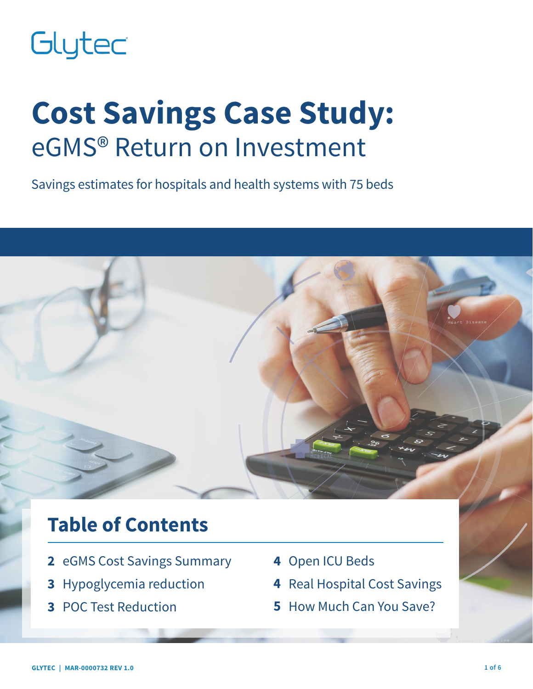# Glytec

# **Cost Savings Case Study:** eGMS® Return on Investment

Savings estimates for hospitals and health systems with 75 beds

# **Table of Contents**

- **2** eGMS Cost Savings Summary
- **3** Hypoglycemia reduction
- **3** POC Test Reduction
- **4** Open ICU Beds
- **4** Real Hospital Cost Savings
- **5** How Much Can You Save?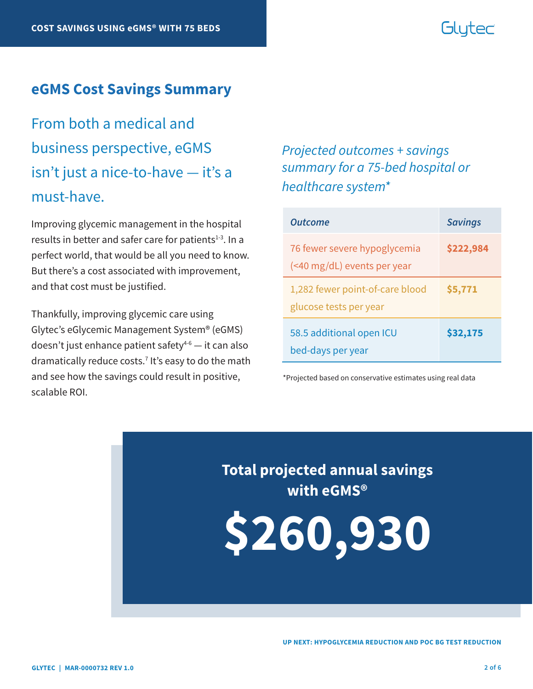# Glutec

#### **eGMS Cost Savings Summary**

From both a medical and business perspective, eGMS isn't just a nice-to-have — it's a must-have.

Improving glycemic management in the hospital results in better and safer care for patients $1-3$ . In a perfect world, that would be all you need to know. But there's a cost associated with improvement, and that cost must be justified.

Thankfully, improving glycemic care using Glytec's eGlycemic Management System® (eGMS) doesn't just enhance patient safety $4-6$  — it can also dramatically reduce costs.7 It's easy to do the math and see how the savings could result in positive, scalable ROI.

### *Projected outcomes + savings summary for a 75-bed hospital or healthcare system\**

| <b>Outcome</b>                                              | <b>Savings</b> |
|-------------------------------------------------------------|----------------|
| 76 fewer severe hypoglycemia<br>(<40 mg/dL) events per year | \$222,984      |
| 1,282 fewer point-of-care blood<br>glucose tests per year   | \$5,771        |
| 58.5 additional open ICU<br>bed-days per year               | \$32,175       |

\*Projected based on conservative estimates using real data

**Total projected annual savings with eGMS®**

**\$260,930**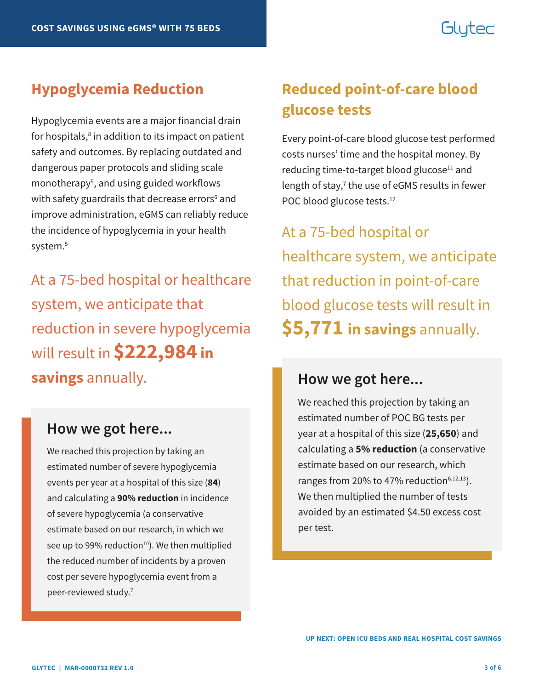# Glutec

Hypoglycemia events are a major financial drain for hospitals,<sup>8</sup> in addition to its impact on patient safety and outcomes. By replacing outdated and dangerous paper protocols and sliding scale monotherapy<sup>9</sup>, and using guided workflows with safety guardrails that decrease errors<sup>6</sup> and improve administration, eGMS can reliably reduce the incidence of hypoglycemia in your health system.<sup>5</sup>

At a 75-bed hospital or healthcare system, we anticipate that reduction in severe hypoglycemia will result in **\$222,984 in savings** annually.

### **How we got here...**

We reached this projection by taking an estimated number of severe hypoglycemia events per year at a hospital of this size (**84**) and calculating a **90% reduction** in incidence of severe hypoglycemia (a conservative estimate based on our research, in which we see up to 99% reduction<sup>10</sup>). We then multiplied the reduced number of incidents by a proven cost per severe hypoglycemia event from a peer-reviewed study.<sup>7</sup>

## **Hypoglycemia Reduction Reduced point-of-care blood glucose tests**

Every point-of-care blood glucose test performed costs nurses' time and the hospital money. By reducing time-to-target blood glucose<sup>11</sup> and length of stay,<sup>7</sup> the use of eGMS results in fewer POC blood glucose tests.<sup>12</sup>

At a 75-bed hospital or healthcare system, we anticipate that reduction in point-of-care blood glucose tests will result in **\$5,771 in savings** annually.

#### **How we got here...**

We reached this projection by taking an estimated number of POC BG tests per year at a hospital of this size (**25,650**) and calculating a **5% reduction** (a conservative estimate based on our research, which ranges from 20% to 47% reduction $6,12,13$ ). We then multiplied the number of tests avoided by an estimated \$4.50 excess cost per test.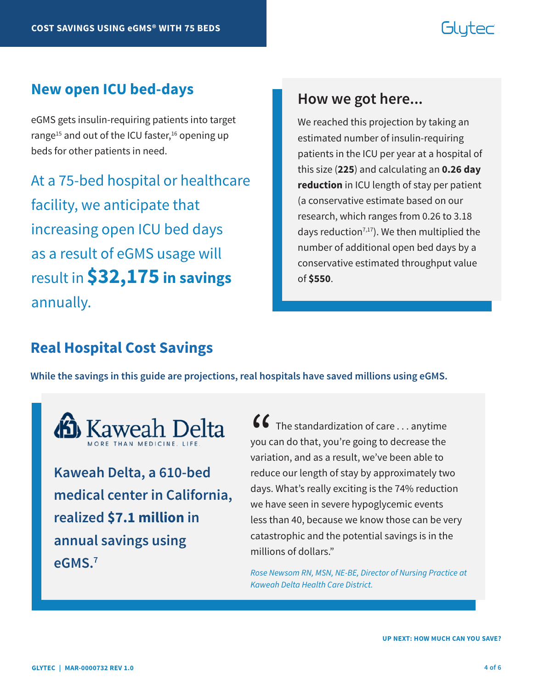# Glutec

#### **New open ICU bed-days**

eGMS gets insulin-requiring patients into target range<sup>15</sup> and out of the ICU faster,<sup>16</sup> opening up beds for other patients in need.

At a 75-bed hospital or healthcare facility, we anticipate that increasing open ICU bed days as a result of eGMS usage will result in **\$32,175 in savings** annually.

#### **How we got here...**

We reached this projection by taking an estimated number of insulin-requiring patients in the ICU per year at a hospital of this size (**225**) and calculating an **0.26 day reduction** in ICU length of stay per patient (a conservative estimate based on our research, which ranges from 0.26 to 3.18 days reduction<sup>7,17</sup>). We then multiplied the number of additional open bed days by a conservative estimated throughput value of **\$550**.

#### **Real Hospital Cost Savings**

**While the savings in this guide are projections, real hospitals have saved millions using eGMS.** 



**Kaweah Delta, a 610-bed medical center in California, realized \$7.1 million in annual savings using eGMS.7**

 $\bullet\bullet\bullet\bullet$  The standardization of care  $\ldots$  anytime you can do that, you're going to decrease the variation, and as a result, we've been able to reduce our length of stay by approximately two days. What's really exciting is the 74% reduction we have seen in severe hypoglycemic events less than 40, because we know those can be very catastrophic and the potential savings is in the millions of dollars."  $\binom{6}{}$ you c<br>varia

*Rose Newsom RN, MSN, NE-BE, Director of Nursing Practice at Kaweah Delta Health Care District.*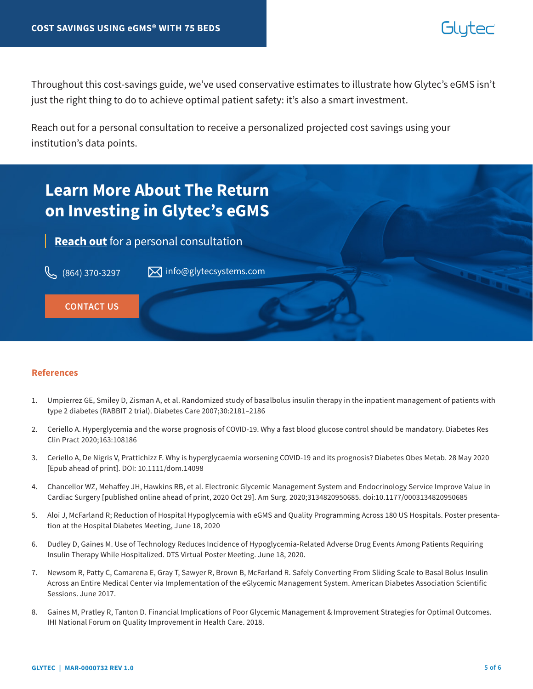## blutec

Throughout this cost-savings guide, we've used conservative estimates to illustrate how Glytec's eGMS isn't just the right thing to do to achieve optimal patient safety: it's also a smart investment.

Reach out for a personal consultation to receive a personalized projected cost savings using your institution's data points.



#### **References**

- 1. Umpierrez GE, Smiley D, Zisman A, et al. Randomized study of basalbolus insulin therapy in the inpatient management of patients with type 2 diabetes (RABBIT 2 trial). Diabetes Care 2007;30:2181–2186
- 2. Ceriello A. Hyperglycemia and the worse prognosis of COVID-19. Why a fast blood glucose control should be mandatory. Diabetes Res Clin Pract 2020;163:108186
- 3. Ceriello A, De Nigris V, Prattichizz F. Why is hyperglycaemia worsening COVID-19 and its prognosis? Diabetes Obes Metab. 28 May 2020 [Epub ahead of print]. DOI: 10.1111/dom.14098
- 4. Chancellor WZ, Mehaffey JH, Hawkins RB, et al. Electronic Glycemic Management System and Endocrinology Service Improve Value in Cardiac Surgery [published online ahead of print, 2020 Oct 29]. Am Surg. 2020;3134820950685. doi:10.1177/0003134820950685
- 5. Aloi J, McFarland R; Reduction of Hospital Hypoglycemia with eGMS and Quality Programming Across 180 US Hospitals. Poster presentation at the Hospital Diabetes Meeting, June 18, 2020
- 6. Dudley D, Gaines M. Use of Technology Reduces Incidence of Hypoglycemia-Related Adverse Drug Events Among Patients Requiring Insulin Therapy While Hospitalized. DTS Virtual Poster Meeting. June 18, 2020.
- 7. Newsom R, Patty C, Camarena E, Gray T, Sawyer R, Brown B, McFarland R. Safely Converting From Sliding Scale to Basal Bolus Insulin Across an Entire Medical Center via Implementation of the eGlycemic Management System. American Diabetes Association Scientific Sessions. June 2017.
- 8. Gaines M, Pratley R, Tanton D. Financial Implications of Poor Glycemic Management & Improvement Strategies for Optimal Outcomes. IHI National Forum on Quality Improvement in Health Care. 2018.